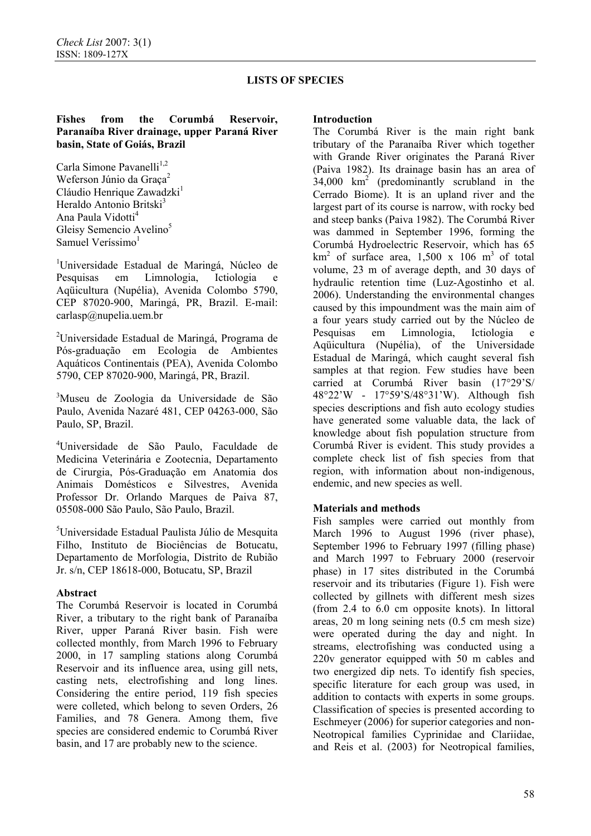# **Fishes from the Corumbá Reservoir, Paranaíba River drainage, upper Paraná River basin, State of Goiás, Brazil**

Carla Simone Pavanelli<sup>1,2</sup> Weferson Júnio da Graça<sup>2</sup> Cláudio Henrique Zawadzki<sup>1</sup> Heraldo Antonio Britski<sup>3</sup> Ana Paula Vidotti<sup>4</sup> Gleisy Semencio Avelino<sup>5</sup> Samuel Veríssimo $<sup>1</sup>$ </sup>

1 Universidade Estadual de Maringá, Núcleo de Pesquisas em Limnologia, Ictiologia e Aqüicultura (Nupélia), Avenida Colombo 5790, CEP 87020-900, Maringá, PR, Brazil. E-mail: carlasp@nupelia.uem.br

<sup>2</sup>Universidade Estadual de Maringá, Programa de Pós-graduação em Ecologia de Ambientes Aquáticos Continentais (PEA), Avenida Colombo 5790, CEP 87020-900, Maringá, PR, Brazil.

3 Museu de Zoologia da Universidade de São Paulo, Avenida Nazaré 481, CEP 04263-000, São Paulo, SP, Brazil.

4 Universidade de São Paulo, Faculdade de Medicina Veterinária e Zootecnia, Departamento de Cirurgia, Pós-Graduação em Anatomia dos Animais Domésticos e Silvestres, Avenida Professor Dr. Orlando Marques de Paiva 87, 05508-000 São Paulo, São Paulo, Brazil.

5 Universidade Estadual Paulista Júlio de Mesquita Filho, Instituto de Biociências de Botucatu, Departamento de Morfologia, Distrito de Rubião Jr. s/n, CEP 18618-000, Botucatu, SP, Brazil

# **Abstract**

The Corumbá Reservoir is located in Corumbá River, a tributary to the right bank of Paranaíba River, upper Paraná River basin. Fish were collected monthly, from March 1996 to February 2000, in 17 sampling stations along Corumbá Reservoir and its influence area, using gill nets, casting nets, electrofishing and long lines. Considering the entire period, 119 fish species were colleted, which belong to seven Orders, 26 Families, and 78 Genera. Among them, five species are considered endemic to Corumbá River basin, and 17 are probably new to the science.

### **Introduction**

The Corumbá River is the main right bank tributary of the Paranaíba River which together with Grande River originates the Paraná River (Paiva 1982). Its drainage basin has an area of  $34,000 \text{ km}^2$  (predominantly scrubland in the Cerrado Biome). It is an upland river and the largest part of its course is narrow, with rocky bed and steep banks (Paiva 1982). The Corumbá River was dammed in September 1996, forming the Corumbá Hydroelectric Reservoir, which has 65  $km<sup>2</sup>$  of surface area, 1,500 x 106 m<sup>3</sup> of total volume, 23 m of average depth, and 30 days of hydraulic retention time (Luz-Agostinho et al. 2006). Understanding the environmental changes caused by this impoundment was the main aim of a four years study carried out by the Núcleo de Pesquisas em Limnologia, Ictiologia e Aqüicultura (Nupélia), of the Universidade Estadual de Maringá, which caught several fish samples at that region. Few studies have been carried at Corumbá River basin (17°29'S/ 48°22'W - 17°59'S/48°31'W). Although fish species descriptions and fish auto ecology studies have generated some valuable data, the lack of knowledge about fish population structure from Corumbá River is evident. This study provides a complete check list of fish species from that region, with information about non-indigenous, endemic, and new species as well.

# **Materials and methods**

Fish samples were carried out monthly from March 1996 to August 1996 (river phase), September 1996 to February 1997 (filling phase) and March 1997 to February 2000 (reservoir phase) in 17 sites distributed in the Corumbá reservoir and its tributaries (Figure 1). Fish were collected by gillnets with different mesh sizes (from 2.4 to 6.0 cm opposite knots). In littoral areas, 20 m long seining nets (0.5 cm mesh size) were operated during the day and night. In streams, electrofishing was conducted using a 220v generator equipped with 50 m cables and two energized dip nets. To identify fish species, specific literature for each group was used, in addition to contacts with experts in some groups. Classification of species is presented according to Eschmeyer (2006) for superior categories and non-Neotropical families Cyprinidae and Clariidae, and Reis et al. (2003) for Neotropical families,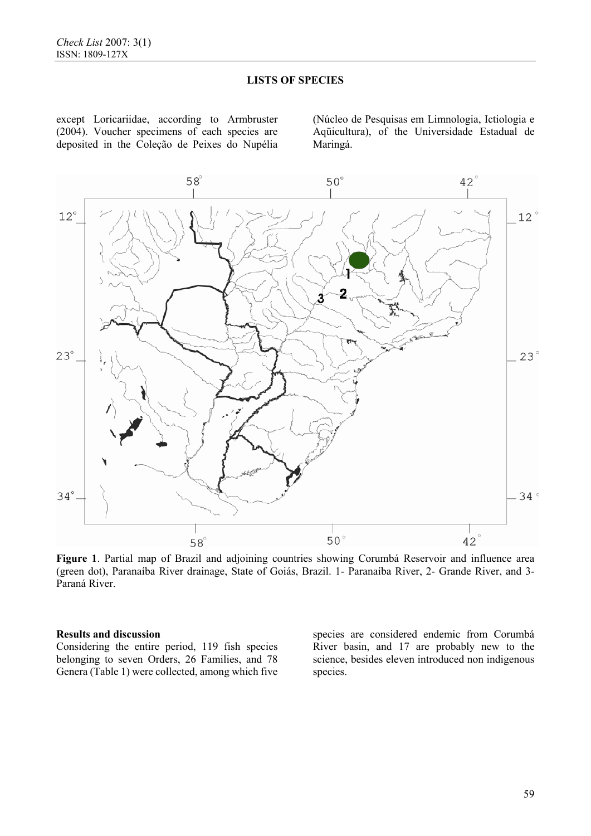except Loricariidae, according to Armbruster (2004). Voucher specimens of each species are deposited in the Coleção de Peixes do Nupélia (Núcleo de Pesquisas em Limnologia, Ictiologia e Aqüicultura), of the Universidade Estadual de Maringá.



**Figure 1**. Partial map of Brazil and adjoining countries showing Corumbá Reservoir and influence area (green dot), Paranaíba River drainage, State of Goiás, Brazil. 1- Paranaíba River, 2- Grande River, and 3- Paraná River.

### **Results and discussion**

Considering the entire period, 119 fish species belonging to seven Orders, 26 Families, and 78 Genera (Table 1) were collected, among which five species are considered endemic from Corumbá River basin, and 17 are probably new to the science, besides eleven introduced non indigenous species.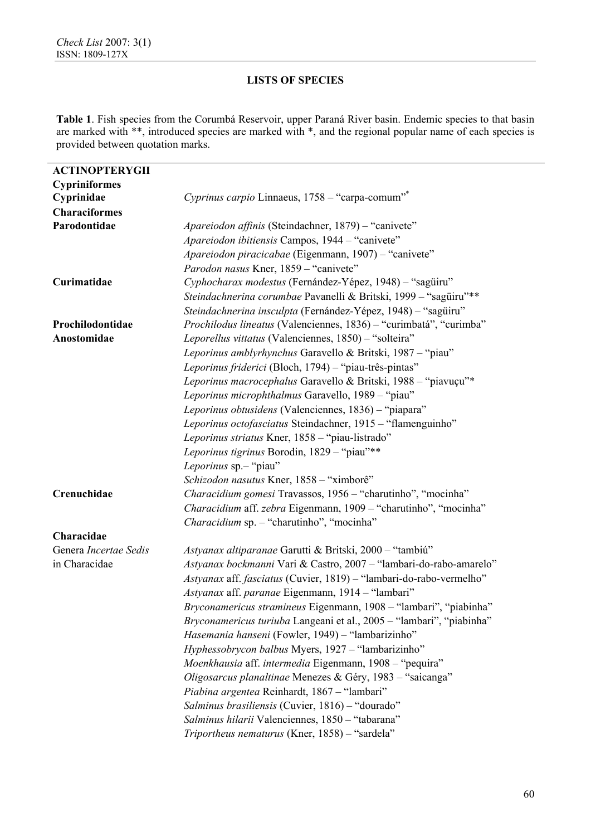l,

# **LISTS OF SPECIES**

**Table 1**. Fish species from the Corumbá Reservoir, upper Paraná River basin. Endemic species to that basin are marked with \*\*, introduced species are marked with \*, and the regional popular name of each species is provided between quotation marks.

| <b>ACTINOPTERYGII</b> |                                                                          |
|-----------------------|--------------------------------------------------------------------------|
| <b>Cypriniformes</b>  |                                                                          |
| Cyprinidae            | Cyprinus carpio Linnaeus, 1758 – "carpa-comum"*                          |
| <b>Characiformes</b>  |                                                                          |
| Parodontidae          | Apareiodon affinis (Steindachner, 1879) - "canivete"                     |
|                       | Apareiodon ibitiensis Campos, 1944 - "canivete"                          |
|                       | Apareiodon piracicabae (Eigenmann, 1907) - "canivete"                    |
|                       | Parodon nasus Kner, 1859 - "canivete"                                    |
| Curimatidae           | Cyphocharax modestus (Fernández-Yépez, 1948) - "sagüiru"                 |
|                       | Steindachnerina corumbae Pavanelli & Britski, 1999 - "sagüiru"**         |
|                       | Steindachnerina insculpta (Fernández-Yépez, 1948) - "sagüiru"            |
| Prochilodontidae      | Prochilodus lineatus (Valenciennes, 1836) - "curimbatá", "curimba"       |
| Anostomidae           | Leporellus vittatus (Valenciennes, 1850) – "solteira"                    |
|                       | Leporinus amblyrhynchus Garavello & Britski, 1987 - "piau"               |
|                       | Leporinus friderici (Bloch, 1794) - "piau-três-pintas"                   |
|                       | Leporinus macrocephalus Garavello & Britski, 1988 - "piavuçu"*           |
|                       | Leporinus microphthalmus Garavello, 1989 - "piau"                        |
|                       | Leporinus obtusidens (Valenciennes, 1836) - "piapara"                    |
|                       | Leporinus octofasciatus Steindachner, 1915 - "flamenguinho"              |
|                       | Leporinus striatus Kner, 1858 - "piau-listrado"                          |
|                       | Leporinus tigrinus Borodin, 1829 - "piau"**                              |
|                       | Leporinus sp.- "piau"                                                    |
|                       | Schizodon nasutus Kner, 1858 - "ximborê"                                 |
| Crenuchidae           | Characidium gomesi Travassos, 1956 - "charutinho", "mocinha"             |
|                       | Characidium aff. zebra Eigenmann, 1909 - "charutinho", "mocinha"         |
|                       | Characidium sp. - "charutinho", "mocinha"                                |
| Characidae            |                                                                          |
| Genera Incertae Sedis | Astyanax altiparanae Garutti & Britski, 2000 - "tambiú"                  |
| in Characidae         | Astyanax bockmanni Vari & Castro, 2007 - "lambari-do-rabo-amarelo"       |
|                       | Astyanax aff. fasciatus (Cuvier, 1819) - "lambari-do-rabo-vermelho"      |
|                       | Astyanax aff. paranae Eigenmann, 1914 - "lambari"                        |
|                       | <i>Bryconamericus stramineus</i> Eigenmann, 1908 – "lambari", "piabinha" |
|                       | Bryconamericus turiuba Langeani et al., 2005 - "lambari", "piabinha"     |
|                       | Hasemania hanseni (Fowler, 1949) - "lambarizinho"                        |
|                       | Hyphessobrycon balbus Myers, 1927 - "lambarizinho"                       |
|                       | Moenkhausia aff. intermedia Eigenmann, 1908 - "pequira"                  |
|                       | Oligosarcus planaltinae Menezes & Géry, 1983 - "saicanga"                |
|                       | Piabina argentea Reinhardt, 1867 - "lambari"                             |
|                       | Salminus brasiliensis (Cuvier, 1816) – "dourado"                         |
|                       | Salminus hilarii Valenciennes, 1850 - "tabarana"                         |
|                       | Triportheus nematurus (Kner, 1858) - "sardela"                           |
|                       |                                                                          |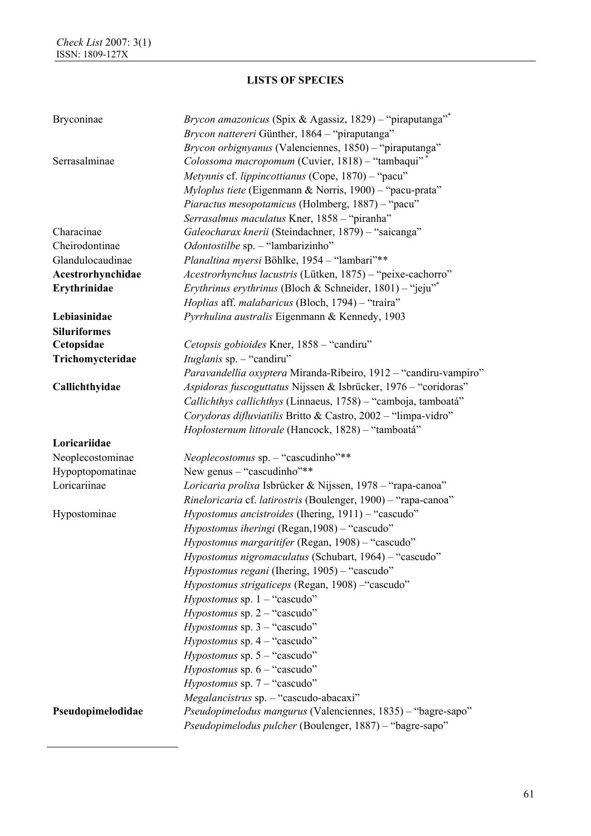| Bryconinae          | Brycon amazonicus (Spix & Agassiz, 1829) - "piraputanga" <sup>*</sup>          |
|---------------------|--------------------------------------------------------------------------------|
|                     | Brycon nattereri Günther, 1864 - "piraputanga"                                 |
|                     | Brycon orbignyanus (Valenciennes, 1850) – "piraputanga"                        |
| Serrasalminae       | Colossoma macropomum (Cuvier, 1818) - "tambaqui"*                              |
|                     | Metynnis cf. lippincottianus (Cope, 1870) - "pacu"                             |
|                     | Myloplus tiete (Eigenmann & Norris, 1900) - "pacu-prata"                       |
|                     | Piaractus mesopotamicus (Holmberg, 1887) - "pacu"                              |
|                     | Serrasalmus maculatus Kner, 1858 - "piranha"                                   |
| Characinae          | Galeocharax knerii (Steindachner, 1879) - "saicanga"                           |
| Cheirodontinae      | Odontostilbe sp. - "lambarizinho"                                              |
| Glandulocaudinae    | Planaltina myersi Böhlke, 1954 - "lambari"**                                   |
| Acestrorhynchidae   | Acestrorhynchus lacustris (Lütken, 1875) - "peixe-cachorro"                    |
| Erythrinidae        | Erythrinus erythrinus (Bloch & Schneider, 1801) - "jeju"*                      |
|                     | Hoplias aff. malabaricus (Bloch, 1794) - "traira"                              |
| Lebiasinidae        | Pyrrhulina australis Eigenmann & Kennedy, 1903                                 |
| <b>Siluriformes</b> |                                                                                |
| Cetopsidae          | Cetopsis gobioides Kner, 1858 - "candiru"                                      |
| Trichomycteridae    | <i>Ituglanis</i> sp. - "candiru"                                               |
|                     | Paravandellia oxyptera Miranda-Ribeiro, 1912 - "candiru-vampiro"               |
| Callichthyidae      | Aspidoras fuscoguttatus Nijssen & Isbrücker, 1976 - "coridoras"                |
|                     | Callichthys callichthys (Linnaeus, 1758) - "camboja, tamboatá"                 |
|                     | Corydoras difluviatilis Britto & Castro, 2002 - "limpa-vidro"                  |
|                     | Hoplosternum littorale (Hancock, 1828) - "tamboatá"                            |
| Loricariidae        |                                                                                |
| Neoplecostominae    | Neoplecostomus sp. - "cascudinho"**                                            |
| Hypoptopomatinae    | New genus $-$ "cascudinho"**                                                   |
| Loricariinae        | Loricaria prolixa Isbrücker & Nijssen, 1978 - "rapa-canoa"                     |
|                     | Rineloricaria cf. latirostris (Boulenger, 1900) - "rapa-canoa"                 |
| Hypostominae        | Hypostomus ancistroides (Ihering, 1911) - "cascudo"                            |
|                     | Hypostomus iheringi (Regan, 1908) - "cascudo"                                  |
|                     | Hypostomus margaritifer (Regan, 1908) - "cascudo"                              |
|                     | Hypostomus nigromaculatus (Schubart, 1964) - "cascudo"                         |
|                     | <i>Hypostomus regani</i> (Ihering, 1905) – "cascudo"                           |
|                     | Hypostomus strigaticeps (Regan, 1908) - "cascudo"                              |
|                     | Hypostomus sp. $1 -$ "cascudo"                                                 |
|                     |                                                                                |
|                     | <i>Hypostomus</i> sp. $2 -$ "cascudo"<br><i>Hypostomus</i> sp. $3 -$ "cascudo" |
|                     |                                                                                |
|                     | <i>Hypostomus</i> sp. $4 -$ "cascudo"                                          |
|                     | <i>Hypostomus</i> sp. $5 -$ "cascudo"                                          |
|                     | <i>Hypostomus</i> sp. $6 -$ "cascudo"                                          |
|                     | <i>Hypostomus</i> sp. $7 -$ "cascudo"                                          |
|                     | Megalancistrus sp. - "cascudo-abacaxi"                                         |
| Pseudopimelodidae   | Pseudopimelodus mangurus (Valenciennes, 1835) - "bagre-sapo"                   |
|                     | Pseudopimelodus pulcher (Boulenger, 1887) - "bagre-sapo"                       |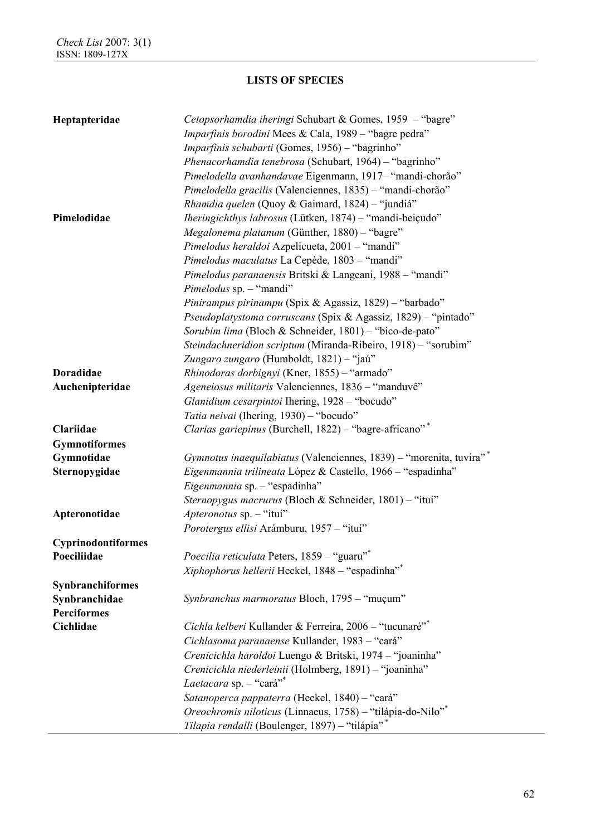| Heptapteridae        | Cetopsorhamdia iheringi Schubart & Gomes, 1959 - "bagre"            |
|----------------------|---------------------------------------------------------------------|
|                      | <i>Imparfinis borodini</i> Mees & Cala, 1989 – "bagre pedra"        |
|                      | Imparfinis schubarti (Gomes, 1956) - "bagrinho"                     |
|                      | Phenacorhamdia tenebrosa (Schubart, 1964) - "bagrinho"              |
|                      | Pimelodella avanhandavae Eigenmann, 1917 - "mandi-chorão"           |
|                      | Pimelodella gracilis (Valenciennes, 1835) - "mandi-chorão"          |
|                      | Rhamdia quelen (Quoy & Gaimard, 1824) - "jundiá"                    |
| Pimelodidae          | <i>Iheringichthys labrosus</i> (Lütken, 1874) – "mandi-beiçudo"     |
|                      | Megalonema platanum (Günther, 1880) - "bagre"                       |
|                      | Pimelodus heraldoi Azpelicueta, 2001 - "mandi"                      |
|                      | Pimelodus maculatus La Cepède, 1803 - "mandi"                       |
|                      | Pimelodus paranaensis Britski & Langeani, 1988 - "mandi"            |
|                      | Pimelodus sp. - "mandi"                                             |
|                      | Pinirampus pirinampu (Spix & Agassiz, 1829) - "barbado"             |
|                      | Pseudoplatystoma corruscans (Spix & Agassiz, 1829) - "pintado"      |
|                      | Sorubim lima (Bloch & Schneider, 1801) - "bico-de-pato"             |
|                      | Steindachneridion scriptum (Miranda-Ribeiro, 1918) - "sorubim"      |
|                      | Zungaro zungaro (Humboldt, 1821) – "jaú"                            |
| <b>Doradidae</b>     | Rhinodoras dorbignyi (Kner, 1855) - "armado"                        |
| Auchenipteridae      | Ageneiosus militaris Valenciennes, 1836 - "manduvê"                 |
|                      | Glanidium cesarpintoi Ihering, 1928 - "bocudo"                      |
|                      | Tatia neivai (Ihering, 1930) - "bocudo"                             |
| Clariidae            | Clarias gariepinus (Burchell, 1822) - "bagre-africano"*             |
|                      |                                                                     |
| <b>Gymnotiformes</b> |                                                                     |
| Gymnotidae           | Gymnotus inaequilabiatus (Valenciennes, 1839) - "morenita, tuvira"* |
| Sternopygidae        | Eigenmannia trilineata López & Castello, 1966 - "espadinha"         |
|                      | Eigenmannia sp. - "espadinha"                                       |
|                      | Sternopygus macrurus (Bloch & Schneider, 1801) - "itui"             |
| Apteronotidae        | Apteronotus sp. - "itui"                                            |
|                      | Porotergus ellisi Arámburu, 1957 - "ituí"                           |
| Cyprinodontiformes   |                                                                     |
| Poeciliidae          | <i>Poecilia reticulata</i> Peters, 1859 – "guaru" <sup>*</sup>      |
|                      | Xiphophorus hellerii Heckel, 1848 - "espadinha"*                    |
| Synbranchiformes     |                                                                     |
| Synbranchidae        | Synbranchus marmoratus Bloch, 1795 - "muçum"                        |
| <b>Perciformes</b>   |                                                                     |
| Cichlidae            | Cichla kelberi Kullander & Ferreira, 2006 - "tucunaré"*             |
|                      | Cichlasoma paranaense Kullander, 1983 - "cará"                      |
|                      | Crenicichla haroldoi Luengo & Britski, 1974 - "joaninha"            |
|                      | Crenicichla niederleinii (Holmberg, 1891) - "joaninha"              |
|                      | Laetacara sp. $-$ "cará" <sup>*</sup>                               |
|                      | Satanoperca pappaterra (Heckel, 1840) - "cará"                      |
|                      | Oreochromis niloticus (Linnaeus, 1758) - "tilápia-do-Nilo"*         |
|                      | Tilapia rendalli (Boulenger, 1897) - "tilápia"*                     |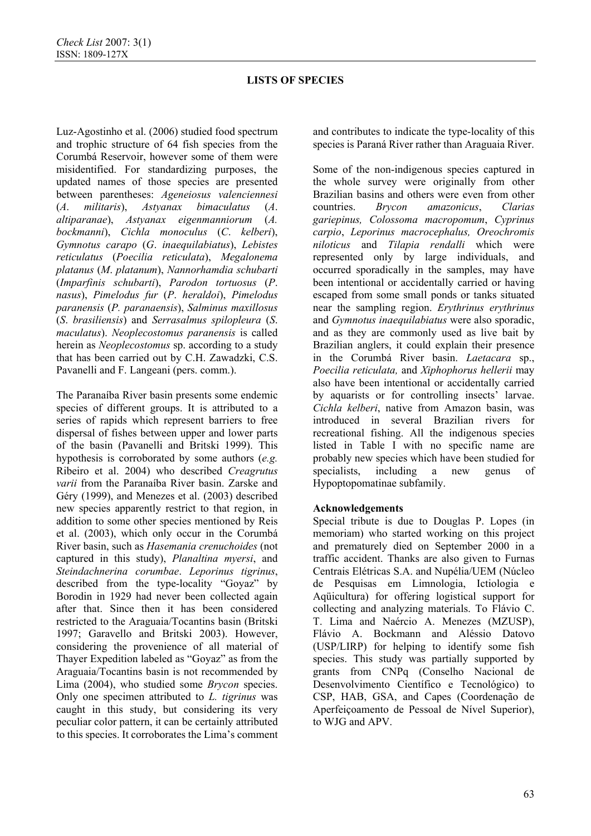Luz-Agostinho et al. (2006) studied food spectrum and trophic structure of 64 fish species from the Corumbá Reservoir, however some of them were misidentified. For standardizing purposes, the updated names of those species are presented between parentheses: *Ageneiosus valenciennesi* (*A*. *militaris*), *Astyanax bimaculatus* (*A*. *altiparanae*), *Astyanax eigenmanniorum* (*A. bockmanni*), *Cichla monoculus* (*C*. *kelberi*), *Gymnotus carapo* (*G*. *inaequilabiatus*), *Lebistes reticulatus* (*Poecilia reticulata*), *Megalonema platanus* (*M*. *platanum*), *Nannorhamdia schubarti* (*Imparfinis schubarti*), *Parodon tortuosus* (*P*. *nasus*), *Pimelodus fur* (*P*. *heraldoi*), *Pimelodus paranensis* (*P. paranaensis*), *Salminus maxillosus* (*S*. *brasiliensis*) and *Serrasalmus spilopleura* (*S*. *maculatus*). *Neoplecostomus paranensis* is called herein as *Neoplecostomus* sp. according to a study that has been carried out by C.H. Zawadzki, C.S. Pavanelli and F. Langeani (pers. comm.).

The Paranaíba River basin presents some endemic species of different groups. It is attributed to a series of rapids which represent barriers to free dispersal of fishes between upper and lower parts of the basin (Pavanelli and Britski 1999). This hypothesis is corroborated by some authors (*e.g.* Ribeiro et al. 2004) who described *Creagrutus varii* from the Paranaíba River basin. Zarske and Géry (1999), and Menezes et al. (2003) described new species apparently restrict to that region, in addition to some other species mentioned by Reis et al. (2003), which only occur in the Corumbá River basin, such as *Hasemania crenuchoides* (not captured in this study), *Planaltina myersi*, and *Steindachnerina corumbae*. *Leporinus tigrinus*, described from the type-locality "Goyaz" by Borodin in 1929 had never been collected again after that. Since then it has been considered restricted to the Araguaia/Tocantins basin (Britski 1997; Garavello and Britski 2003). However, considering the provenience of all material of Thayer Expedition labeled as "Goyaz" as from the Araguaia/Tocantins basin is not recommended by Lima (2004), who studied some *Brycon* species. Only one specimen attributed to *L. tigrinus* was caught in this study, but considering its very peculiar color pattern, it can be certainly attributed to this species. It corroborates the Lima's comment

and contributes to indicate the type-locality of this species is Paraná River rather than Araguaia River.

Some of the non-indigenous species captured in the whole survey were originally from other Brazilian basins and others were even from other countries. *Brycon amazonicus*, *Clarias gariepinus, Colossoma macropomum*, *Cyprinus carpio*, *Leporinus macrocephalus, Oreochromis niloticus* and *Tilapia rendalli* which were represented only by large individuals, and occurred sporadically in the samples, may have been intentional or accidentally carried or having escaped from some small ponds or tanks situated near the sampling region. *Erythrinus erythrinus*  and *Gymnotus inaequilabiatus* were also sporadic, and as they are commonly used as live bait by Brazilian anglers, it could explain their presence in the Corumbá River basin. *Laetacara* sp., *Poecilia reticulata,* and *Xiphophorus hellerii* may also have been intentional or accidentally carried by aquarists or for controlling insects' larvae. *Cichla kelberi*, native from Amazon basin, was introduced in several Brazilian rivers for recreational fishing. All the indigenous species listed in Table I with no specific name are probably new species which have been studied for specialists, including a new genus of Hypoptopomatinae subfamily.

# **Acknowledgements**

Special tribute is due to Douglas P. Lopes (in memoriam) who started working on this project and prematurely died on September 2000 in a traffic accident. Thanks are also given to Furnas Centrais Elétricas S.A. and Nupélia/UEM (Núcleo de Pesquisas em Limnologia, Ictiologia e Aqüicultura) for offering logistical support for collecting and analyzing materials. To Flávio C. T. Lima and Naércio A. Menezes (MZUSP), Flávio A. Bockmann and Aléssio Datovo (USP/LIRP) for helping to identify some fish species. This study was partially supported by grants from CNPq (Conselho Nacional de Desenvolvimento Científico e Tecnológico) to CSP, HAB, GSA, and Capes (Coordenação de Aperfeiçoamento de Pessoal de Nível Superior), to WJG and APV.